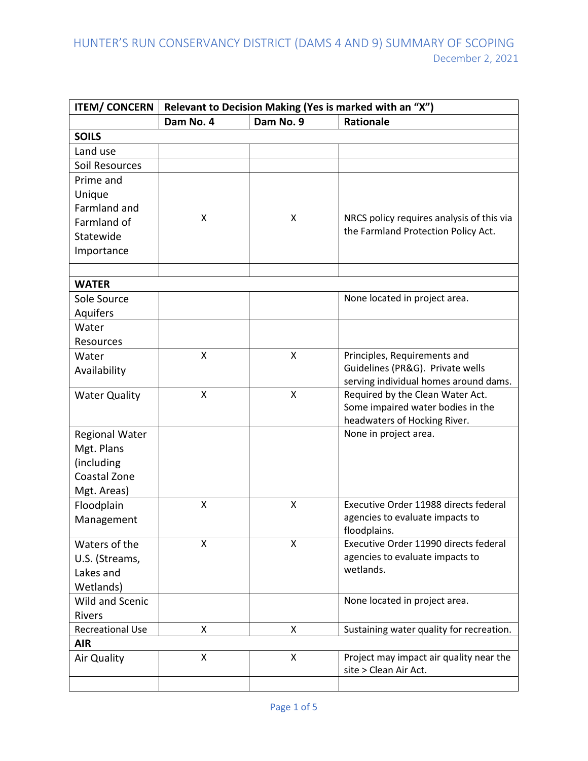| <b>ITEM/ CONCERN</b>       | Relevant to Decision Making (Yes is marked with an "X") |           |                                           |  |
|----------------------------|---------------------------------------------------------|-----------|-------------------------------------------|--|
|                            | Dam No. 4                                               | Dam No. 9 | <b>Rationale</b>                          |  |
| <b>SOILS</b>               |                                                         |           |                                           |  |
| Land use                   |                                                         |           |                                           |  |
| Soil Resources             |                                                         |           |                                           |  |
| Prime and                  |                                                         |           |                                           |  |
| Unique                     |                                                         |           |                                           |  |
| Farmland and               |                                                         |           |                                           |  |
| Farmland of                | X                                                       | X         | NRCS policy requires analysis of this via |  |
| Statewide                  |                                                         |           | the Farmland Protection Policy Act.       |  |
| Importance                 |                                                         |           |                                           |  |
|                            |                                                         |           |                                           |  |
| <b>WATER</b>               |                                                         |           |                                           |  |
| Sole Source                |                                                         |           | None located in project area.             |  |
| Aquifers                   |                                                         |           |                                           |  |
| Water                      |                                                         |           |                                           |  |
| Resources                  |                                                         |           |                                           |  |
| Water                      | X                                                       | X         | Principles, Requirements and              |  |
| Availability               |                                                         |           | Guidelines (PR&G). Private wells          |  |
|                            |                                                         |           | serving individual homes around dams.     |  |
| <b>Water Quality</b>       | Χ                                                       | X         | Required by the Clean Water Act.          |  |
|                            |                                                         |           | Some impaired water bodies in the         |  |
|                            |                                                         |           | headwaters of Hocking River.              |  |
| <b>Regional Water</b>      |                                                         |           | None in project area.                     |  |
| Mgt. Plans                 |                                                         |           |                                           |  |
| (including<br>Coastal Zone |                                                         |           |                                           |  |
| Mgt. Areas)                |                                                         |           |                                           |  |
| Floodplain                 | X                                                       | X         | Executive Order 11988 directs federal     |  |
| Management                 |                                                         |           | agencies to evaluate impacts to           |  |
|                            |                                                         |           | floodplains.                              |  |
| Waters of the              | X                                                       | X         | Executive Order 11990 directs federal     |  |
| U.S. (Streams,             |                                                         |           | agencies to evaluate impacts to           |  |
| Lakes and                  |                                                         |           | wetlands.                                 |  |
| Wetlands)                  |                                                         |           |                                           |  |
| <b>Wild and Scenic</b>     |                                                         |           | None located in project area.             |  |
| <b>Rivers</b>              |                                                         |           |                                           |  |
| <b>Recreational Use</b>    | X                                                       | X         | Sustaining water quality for recreation.  |  |
| <b>AIR</b>                 |                                                         |           |                                           |  |
| Air Quality                | X                                                       | X         | Project may impact air quality near the   |  |
|                            |                                                         |           | site > Clean Air Act.                     |  |
|                            |                                                         |           |                                           |  |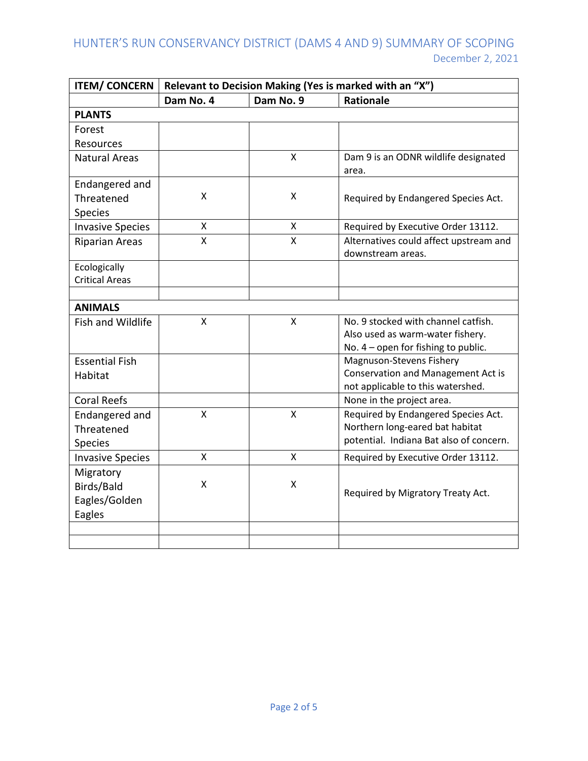| <b>ITEM/ CONCERN</b>    | Relevant to Decision Making (Yes is marked with an "X") |           |                                                                         |  |
|-------------------------|---------------------------------------------------------|-----------|-------------------------------------------------------------------------|--|
|                         | Dam No. 4                                               | Dam No. 9 | <b>Rationale</b>                                                        |  |
| <b>PLANTS</b>           |                                                         |           |                                                                         |  |
| Forest                  |                                                         |           |                                                                         |  |
| Resources               |                                                         |           |                                                                         |  |
| <b>Natural Areas</b>    |                                                         | Χ         | Dam 9 is an ODNR wildlife designated                                    |  |
|                         |                                                         |           | area.                                                                   |  |
| Endangered and          |                                                         |           |                                                                         |  |
| Threatened              | X                                                       | X         | Required by Endangered Species Act.                                     |  |
| <b>Species</b>          |                                                         |           |                                                                         |  |
| <b>Invasive Species</b> | X                                                       | Χ         | Required by Executive Order 13112.                                      |  |
| <b>Riparian Areas</b>   | X                                                       | X         | Alternatives could affect upstream and                                  |  |
|                         |                                                         |           | downstream areas.                                                       |  |
| Ecologically            |                                                         |           |                                                                         |  |
| <b>Critical Areas</b>   |                                                         |           |                                                                         |  |
|                         |                                                         |           |                                                                         |  |
| <b>ANIMALS</b>          |                                                         |           |                                                                         |  |
| Fish and Wildlife       | $\sf X$                                                 | X         | No. 9 stocked with channel catfish.                                     |  |
|                         |                                                         |           | Also used as warm-water fishery.                                        |  |
|                         |                                                         |           | No. $4$ – open for fishing to public.                                   |  |
| <b>Essential Fish</b>   |                                                         |           | Magnuson-Stevens Fishery                                                |  |
| Habitat                 |                                                         |           | Conservation and Management Act is<br>not applicable to this watershed. |  |
| <b>Coral Reefs</b>      |                                                         |           | None in the project area.                                               |  |
|                         | X                                                       | X         | Required by Endangered Species Act.                                     |  |
| Endangered and          |                                                         |           | Northern long-eared bat habitat                                         |  |
| Threatened              |                                                         |           | potential. Indiana Bat also of concern.                                 |  |
| Species                 |                                                         |           |                                                                         |  |
| <b>Invasive Species</b> | X                                                       | X         | Required by Executive Order 13112.                                      |  |
| Migratory               |                                                         |           |                                                                         |  |
| Birds/Bald              | X                                                       | X         | Required by Migratory Treaty Act.                                       |  |
| Eagles/Golden           |                                                         |           |                                                                         |  |
| Eagles                  |                                                         |           |                                                                         |  |
|                         |                                                         |           |                                                                         |  |
|                         |                                                         |           |                                                                         |  |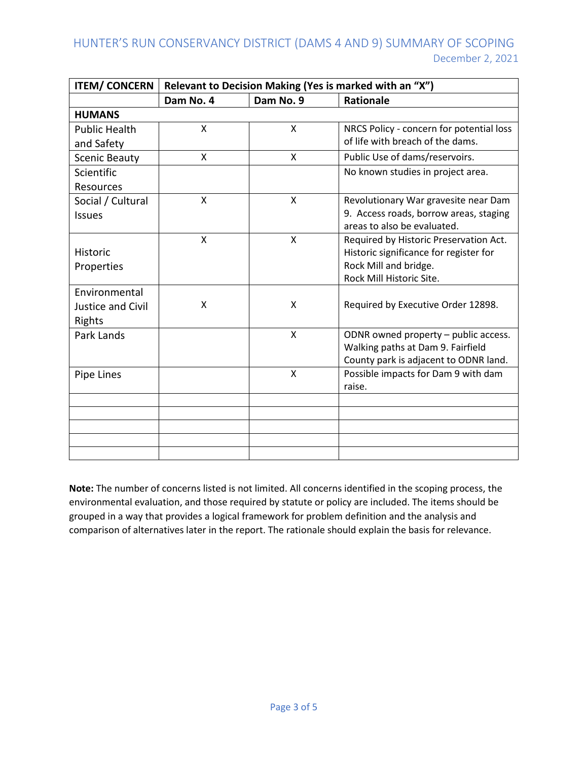| <b>ITEM/ CONCERN</b> | Relevant to Decision Making (Yes is marked with an "X") |   |                                                                           |  |
|----------------------|---------------------------------------------------------|---|---------------------------------------------------------------------------|--|
|                      | Dam No. 9<br>Dam No. 4                                  |   | <b>Rationale</b>                                                          |  |
| <b>HUMANS</b>        |                                                         |   |                                                                           |  |
| <b>Public Health</b> | X                                                       | X | NRCS Policy - concern for potential loss                                  |  |
| and Safety           |                                                         |   | of life with breach of the dams.                                          |  |
| <b>Scenic Beauty</b> | X                                                       | X | Public Use of dams/reservoirs.                                            |  |
| Scientific           |                                                         |   | No known studies in project area.                                         |  |
| Resources            |                                                         |   |                                                                           |  |
| Social / Cultural    | X                                                       | X | Revolutionary War gravesite near Dam                                      |  |
| <b>Issues</b>        |                                                         |   | 9. Access roads, borrow areas, staging                                    |  |
|                      |                                                         |   | areas to also be evaluated.                                               |  |
|                      | $\mathsf{x}$                                            | X | Required by Historic Preservation Act.                                    |  |
| <b>Historic</b>      |                                                         |   | Historic significance for register for                                    |  |
| Properties           |                                                         |   | Rock Mill and bridge.<br>Rock Mill Historic Site.                         |  |
| Environmental        |                                                         |   |                                                                           |  |
| Justice and Civil    | X                                                       | X | Required by Executive Order 12898.                                        |  |
|                      |                                                         |   |                                                                           |  |
| Rights               |                                                         | X |                                                                           |  |
| Park Lands           |                                                         |   | ODNR owned property - public access.<br>Walking paths at Dam 9. Fairfield |  |
|                      |                                                         |   | County park is adjacent to ODNR land.                                     |  |
| Pipe Lines           |                                                         | X | Possible impacts for Dam 9 with dam                                       |  |
|                      |                                                         |   | raise.                                                                    |  |
|                      |                                                         |   |                                                                           |  |
|                      |                                                         |   |                                                                           |  |
|                      |                                                         |   |                                                                           |  |
|                      |                                                         |   |                                                                           |  |
|                      |                                                         |   |                                                                           |  |

**Note:** The number of concerns listed is not limited. All concerns identified in the scoping process, the environmental evaluation, and those required by statute or policy are included. The items should be grouped in a way that provides a logical framework for problem definition and the analysis and comparison of alternatives later in the report. The rationale should explain the basis for relevance.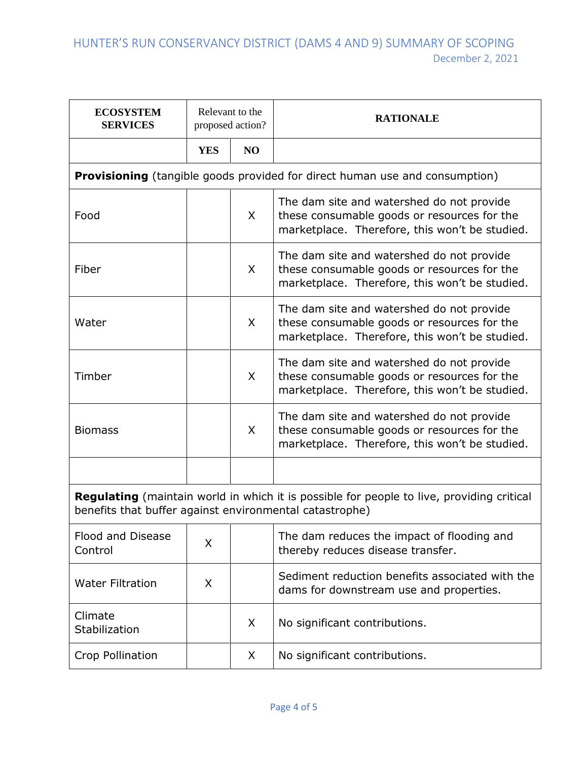| <b>ECOSYSTEM</b><br><b>SERVICES</b>                                                                                                                         | Relevant to the<br>proposed action? |              | <b>RATIONALE</b>                                                                                                                           |
|-------------------------------------------------------------------------------------------------------------------------------------------------------------|-------------------------------------|--------------|--------------------------------------------------------------------------------------------------------------------------------------------|
|                                                                                                                                                             | <b>YES</b>                          | NO           |                                                                                                                                            |
|                                                                                                                                                             |                                     |              | <b>Provisioning</b> (tangible goods provided for direct human use and consumption)                                                         |
| Food                                                                                                                                                        |                                     | X            | The dam site and watershed do not provide<br>these consumable goods or resources for the<br>marketplace. Therefore, this won't be studied. |
| Fiber                                                                                                                                                       |                                     | $\mathsf{X}$ | The dam site and watershed do not provide<br>these consumable goods or resources for the<br>marketplace. Therefore, this won't be studied. |
| Water                                                                                                                                                       |                                     | X            | The dam site and watershed do not provide<br>these consumable goods or resources for the<br>marketplace. Therefore, this won't be studied. |
| Timber                                                                                                                                                      |                                     | $\mathsf{X}$ | The dam site and watershed do not provide<br>these consumable goods or resources for the<br>marketplace. Therefore, this won't be studied. |
| <b>Biomass</b>                                                                                                                                              |                                     | $\mathsf{X}$ | The dam site and watershed do not provide<br>these consumable goods or resources for the<br>marketplace. Therefore, this won't be studied. |
|                                                                                                                                                             |                                     |              |                                                                                                                                            |
| <b>Regulating</b> (maintain world in which it is possible for people to live, providing critical<br>benefits that buffer against environmental catastrophe) |                                     |              |                                                                                                                                            |
| Flood and Disease<br>Control                                                                                                                                | X                                   |              | The dam reduces the impact of flooding and<br>thereby reduces disease transfer.                                                            |
| <b>Water Filtration</b>                                                                                                                                     | X                                   |              | Sediment reduction benefits associated with the<br>dams for downstream use and properties.                                                 |
| Climate<br>Stabilization                                                                                                                                    |                                     | X            | No significant contributions.                                                                                                              |
| Crop Pollination                                                                                                                                            |                                     | X            | No significant contributions.                                                                                                              |